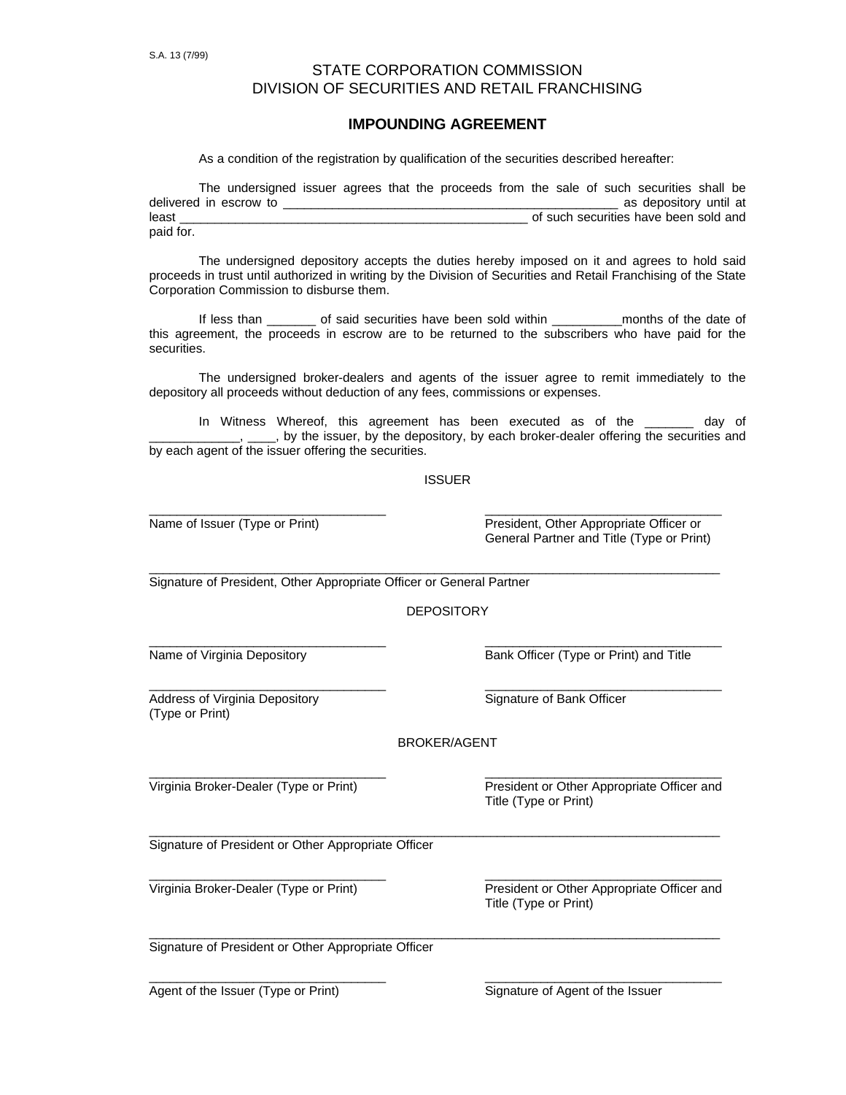# STATE CORPORATION COMMISSION DIVISION OF SECURITIES AND RETAIL FRANCHISING

## **IMPOUNDING AGREEMENT**

As a condition of the registration by qualification of the securities described hereafter:

|           | The undersigned issuer agrees that the proceeds from the sale of such securities shall be |  |  |  |  |  |                                       |  |
|-----------|-------------------------------------------------------------------------------------------|--|--|--|--|--|---------------------------------------|--|
|           | delivered in escrow to                                                                    |  |  |  |  |  | as depository until at                |  |
| least     |                                                                                           |  |  |  |  |  | of such securities have been sold and |  |
| paid for. |                                                                                           |  |  |  |  |  |                                       |  |

The undersigned depository accepts the duties hereby imposed on it and agrees to hold said proceeds in trust until authorized in writing by the Division of Securities and Retail Franchising of the State Corporation Commission to disburse them.

If less than \_\_\_\_\_\_\_ of said securities have been sold within \_\_\_\_\_\_\_\_\_\_\_months of the date of this agreement, the proceeds in escrow are to be returned to the subscribers who have paid for the securities.

The undersigned broker-dealers and agents of the issuer agree to remit immediately to the depository all proceeds without deduction of any fees, commissions or expenses.

In Witness Whereof, this agreement has been executed as of the \_\_\_\_\_\_\_ day of \_, by the issuer, by the depository, by each broker-dealer offering the securities and by each agent of the issuer offering the securities.

### **ISSUER**

\_\_\_\_\_\_\_\_\_\_\_\_\_\_\_\_\_\_\_\_\_\_\_\_\_\_\_\_\_\_\_\_\_\_ \_\_\_\_\_\_\_\_\_\_\_\_\_\_\_\_\_\_\_\_\_\_\_\_\_\_\_\_\_\_\_\_\_\_

Name of Issuer (Type or Print) President, Other Appropriate Officer or General Partner and Title (Type or Print)

\_\_\_\_\_\_\_\_\_\_\_\_\_\_\_\_\_\_\_\_\_\_\_\_\_\_\_\_\_\_\_\_\_\_\_\_\_\_\_\_\_\_\_\_\_\_\_\_\_\_\_\_\_\_\_\_\_\_\_\_\_\_\_\_\_\_\_\_\_\_\_\_\_\_\_\_\_\_\_\_\_\_ Signature of President, Other Appropriate Officer or General Partner

DEPOSITORY

\_\_\_\_\_\_\_\_\_\_\_\_\_\_\_\_\_\_\_\_\_\_\_\_\_\_\_\_\_\_\_\_\_\_ \_\_\_\_\_\_\_\_\_\_\_\_\_\_\_\_\_\_\_\_\_\_\_\_\_\_\_\_\_\_\_\_\_\_

Name of Virginia Depository **Bank Officer (Type or Print)** and Title

Address of Virginia Depository **Signature of Bank Officer** Signature of Bank Officer (Type or Print)

\_\_\_\_\_\_\_\_\_\_\_\_\_\_\_\_\_\_\_\_\_\_\_\_\_\_\_\_\_\_\_\_\_\_ \_\_\_\_\_\_\_\_\_\_\_\_\_\_\_\_\_\_\_\_\_\_\_\_\_\_\_\_\_\_\_\_\_\_

#### BROKER/AGENT

\_\_\_\_\_\_\_\_\_\_\_\_\_\_\_\_\_\_\_\_\_\_\_\_\_\_\_\_\_\_\_\_\_\_\_\_\_\_\_\_\_\_\_\_\_\_\_\_\_\_\_\_\_\_\_\_\_\_\_\_\_\_\_\_\_\_\_\_\_\_\_\_\_\_\_\_\_\_\_\_\_\_

\_\_\_\_\_\_\_\_\_\_\_\_\_\_\_\_\_\_\_\_\_\_\_\_\_\_\_\_\_\_\_\_\_\_ \_\_\_\_\_\_\_\_\_\_\_\_\_\_\_\_\_\_\_\_\_\_\_\_\_\_\_\_\_\_\_\_\_\_

\_\_\_\_\_\_\_\_\_\_\_\_\_\_\_\_\_\_\_\_\_\_\_\_\_\_\_\_\_\_\_\_\_\_ \_\_\_\_\_\_\_\_\_\_\_\_\_\_\_\_\_\_\_\_\_\_\_\_\_\_\_\_\_\_\_\_\_\_

Virginia Broker-Dealer (Type or Print) President or Other Appropriate Officer and Title (Type or Print)

\_\_\_\_\_\_\_\_\_\_\_\_\_\_\_\_\_\_\_\_\_\_\_\_\_\_\_\_\_\_\_\_\_\_\_\_\_\_\_\_\_\_\_\_\_\_\_\_\_\_\_\_\_\_\_\_\_\_\_\_\_\_\_\_\_\_\_\_\_\_\_\_\_\_\_\_\_\_\_\_\_\_ Signature of President or Other Appropriate Officer

\_\_\_\_\_\_\_\_\_\_\_\_\_\_\_\_\_\_\_\_\_\_\_\_\_\_\_\_\_\_\_\_\_\_ \_\_\_\_\_\_\_\_\_\_\_\_\_\_\_\_\_\_\_\_\_\_\_\_\_\_\_\_\_\_\_\_\_\_

Virginia Broker-Dealer (Type or Print) President or Other Appropriate Officer and Title (Type or Print)

Signature of President or Other Appropriate Officer

Agent of the Issuer (Type or Print) Signature of Agent of the Issuer